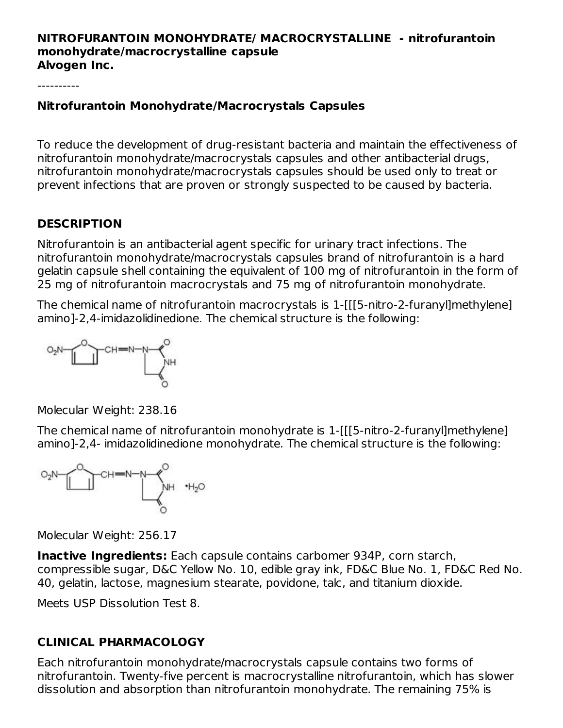#### **NITROFURANTOIN MONOHYDRATE/ MACROCRYSTALLINE - nitrofurantoin monohydrate/macrocrystalline capsule Alvogen Inc.**

----------

#### **Nitrofurantoin Monohydrate/Macrocrystals Capsules**

To reduce the development of drug-resistant bacteria and maintain the effectiveness of nitrofurantoin monohydrate/macrocrystals capsules and other antibacterial drugs, nitrofurantoin monohydrate/macrocrystals capsules should be used only to treat or prevent infections that are proven or strongly suspected to be caused by bacteria.

#### **DESCRIPTION**

Nitrofurantoin is an antibacterial agent specific for urinary tract infections. The nitrofurantoin monohydrate/macrocrystals capsules brand of nitrofurantoin is a hard gelatin capsule shell containing the equivalent of 100 mg of nitrofurantoin in the form of 25 mg of nitrofurantoin macrocrystals and 75 mg of nitrofurantoin monohydrate.

The chemical name of nitrofurantoin macrocrystals is 1-[[[5-nitro-2-furanyl]methylene] amino]-2,4-imidazolidinedione. The chemical structure is the following:



Molecular Weight: 238.16

The chemical name of nitrofurantoin monohydrate is 1-[[[5-nitro-2-furanyl]methylene] amino]-2,4- imidazolidinedione monohydrate. The chemical structure is the following:



Molecular Weight: 256.17

**Inactive Ingredients:** Each capsule contains carbomer 934P, corn starch, compressible sugar, D&C Yellow No. 10, edible gray ink, FD&C Blue No. 1, FD&C Red No. 40, gelatin, lactose, magnesium stearate, povidone, talc, and titanium dioxide.

Meets USP Dissolution Test 8.

## **CLINICAL PHARMACOLOGY**

Each nitrofurantoin monohydrate/macrocrystals capsule contains two forms of nitrofurantoin. Twenty-five percent is macrocrystalline nitrofurantoin, which has slower dissolution and absorption than nitrofurantoin monohydrate. The remaining 75% is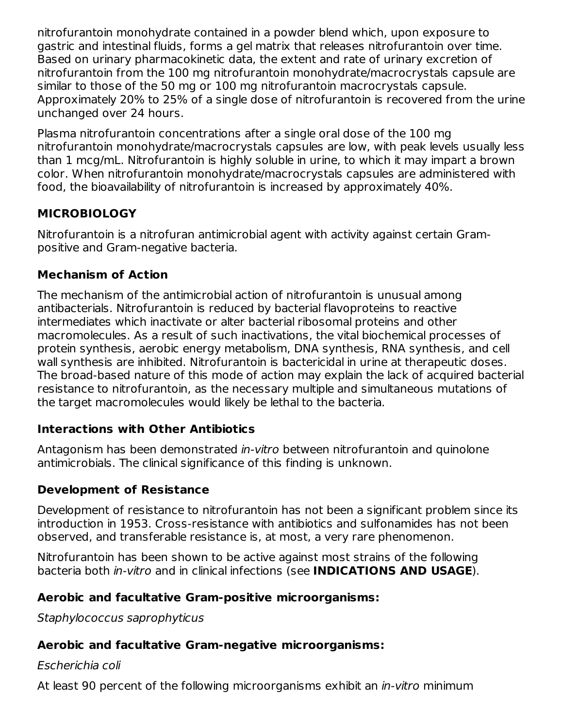nitrofurantoin monohydrate contained in a powder blend which, upon exposure to gastric and intestinal fluids, forms a gel matrix that releases nitrofurantoin over time. Based on urinary pharmacokinetic data, the extent and rate of urinary excretion of nitrofurantoin from the 100 mg nitrofurantoin monohydrate/macrocrystals capsule are similar to those of the 50 mg or 100 mg nitrofurantoin macrocrystals capsule. Approximately 20% to 25% of a single dose of nitrofurantoin is recovered from the urine unchanged over 24 hours.

Plasma nitrofurantoin concentrations after a single oral dose of the 100 mg nitrofurantoin monohydrate/macrocrystals capsules are low, with peak levels usually less than 1 mcg/mL. Nitrofurantoin is highly soluble in urine, to which it may impart a brown color. When nitrofurantoin monohydrate/macrocrystals capsules are administered with food, the bioavailability of nitrofurantoin is increased by approximately 40%.

## **MICROBIOLOGY**

Nitrofurantoin is a nitrofuran antimicrobial agent with activity against certain Grampositive and Gram-negative bacteria.

## **Mechanism of Action**

The mechanism of the antimicrobial action of nitrofurantoin is unusual among antibacterials. Nitrofurantoin is reduced by bacterial flavoproteins to reactive intermediates which inactivate or alter bacterial ribosomal proteins and other macromolecules. As a result of such inactivations, the vital biochemical processes of protein synthesis, aerobic energy metabolism, DNA synthesis, RNA synthesis, and cell wall synthesis are inhibited. Nitrofurantoin is bactericidal in urine at therapeutic doses. The broad-based nature of this mode of action may explain the lack of acquired bacterial resistance to nitrofurantoin, as the necessary multiple and simultaneous mutations of the target macromolecules would likely be lethal to the bacteria.

## **Interactions with Other Antibiotics**

Antagonism has been demonstrated in-vitro between nitrofurantoin and quinolone antimicrobials. The clinical significance of this finding is unknown.

## **Development of Resistance**

Development of resistance to nitrofurantoin has not been a significant problem since its introduction in 1953. Cross-resistance with antibiotics and sulfonamides has not been observed, and transferable resistance is, at most, a very rare phenomenon.

Nitrofurantoin has been shown to be active against most strains of the following bacteria both in-vitro and in clinical infections (see **INDICATIONS AND USAGE**).

## **Aerobic and facultative Gram-positive microorganisms:**

Staphylococcus saprophyticus

## **Aerobic and facultative Gram-negative microorganisms:**

#### Escherichia coli

At least 90 percent of the following microorganisms exhibit an in-vitro minimum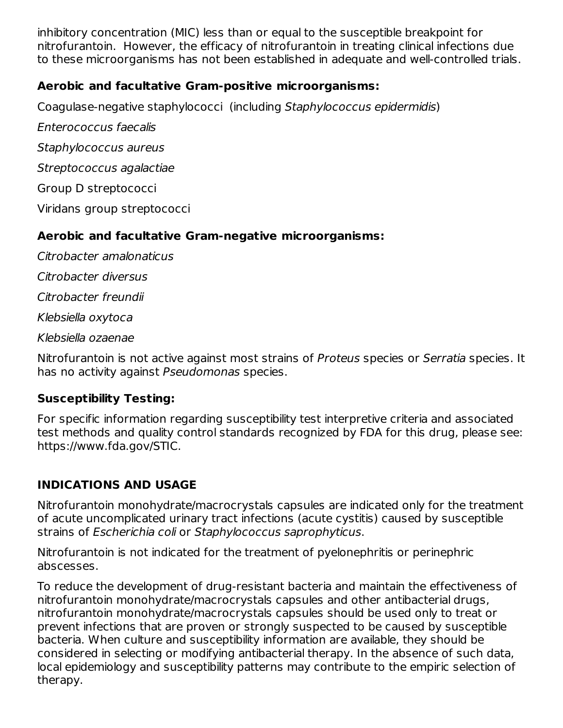inhibitory concentration (MIC) less than or equal to the susceptible breakpoint for nitrofurantoin. However, the efficacy of nitrofurantoin in treating clinical infections due to these microorganisms has not been established in adequate and well-controlled trials.

## **Aerobic and facultative Gram-positive microorganisms:**

Coagulase-negative staphylococci (including Staphylococcus epidermidis)

Enterococcus faecalis

Staphylococcus aureus

Streptococcus agalactiae

Group D streptococci

Viridans group streptococci

# **Aerobic and facultative Gram-negative microorganisms:**

Citrobacter amalonaticus

Citrobacter diversus

Citrobacter freundii

Klebsiella oxytoca

Klebsiella ozaenae

Nitrofurantoin is not active against most strains of Proteus species or Serratia species. It has no activity against Pseudomonas species.

# **Susceptibility Testing:**

For specific information regarding susceptibility test interpretive criteria and associated test methods and quality control standards recognized by FDA for this drug, please see: https://www.fda.gov/STIC.

# **INDICATIONS AND USAGE**

Nitrofurantoin monohydrate/macrocrystals capsules are indicated only for the treatment of acute uncomplicated urinary tract infections (acute cystitis) caused by susceptible strains of Escherichia coli or Staphylococcus saprophyticus.

Nitrofurantoin is not indicated for the treatment of pyelonephritis or perinephric abscesses.

To reduce the development of drug-resistant bacteria and maintain the effectiveness of nitrofurantoin monohydrate/macrocrystals capsules and other antibacterial drugs, nitrofurantoin monohydrate/macrocrystals capsules should be used only to treat or prevent infections that are proven or strongly suspected to be caused by susceptible bacteria. When culture and susceptibility information are available, they should be considered in selecting or modifying antibacterial therapy. In the absence of such data, local epidemiology and susceptibility patterns may contribute to the empiric selection of therapy.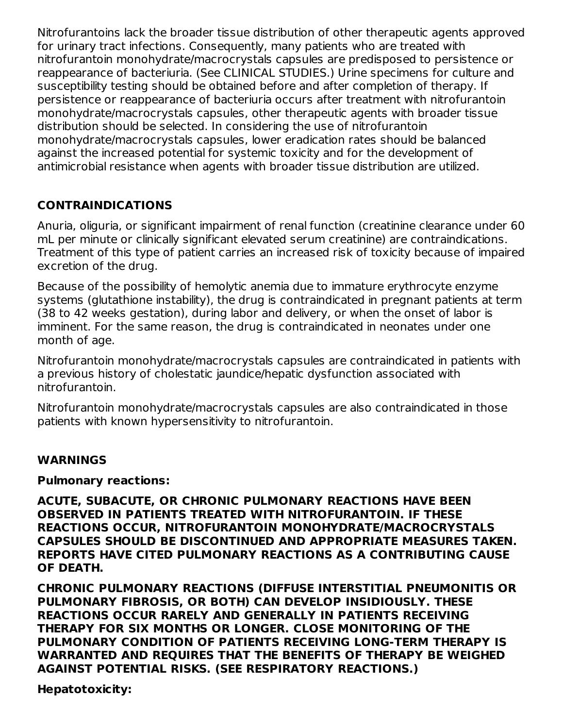Nitrofurantoins lack the broader tissue distribution of other therapeutic agents approved for urinary tract infections. Consequently, many patients who are treated with nitrofurantoin monohydrate/macrocrystals capsules are predisposed to persistence or reappearance of bacteriuria. (See CLINICAL STUDIES.) Urine specimens for culture and susceptibility testing should be obtained before and after completion of therapy. If persistence or reappearance of bacteriuria occurs after treatment with nitrofurantoin monohydrate/macrocrystals capsules, other therapeutic agents with broader tissue distribution should be selected. In considering the use of nitrofurantoin monohydrate/macrocrystals capsules, lower eradication rates should be balanced against the increased potential for systemic toxicity and for the development of antimicrobial resistance when agents with broader tissue distribution are utilized.

# **CONTRAINDICATIONS**

Anuria, oliguria, or significant impairment of renal function (creatinine clearance under 60 mL per minute or clinically significant elevated serum creatinine) are contraindications. Treatment of this type of patient carries an increased risk of toxicity because of impaired excretion of the drug.

Because of the possibility of hemolytic anemia due to immature erythrocyte enzyme systems (glutathione instability), the drug is contraindicated in pregnant patients at term (38 to 42 weeks gestation), during labor and delivery, or when the onset of labor is imminent. For the same reason, the drug is contraindicated in neonates under one month of age.

Nitrofurantoin monohydrate/macrocrystals capsules are contraindicated in patients with a previous history of cholestatic jaundice/hepatic dysfunction associated with nitrofurantoin.

Nitrofurantoin monohydrate/macrocrystals capsules are also contraindicated in those patients with known hypersensitivity to nitrofurantoin.

#### **WARNINGS**

#### **Pulmonary reactions:**

**ACUTE, SUBACUTE, OR CHRONIC PULMONARY REACTIONS HAVE BEEN OBSERVED IN PATIENTS TREATED WITH NITROFURANTOIN. IF THESE REACTIONS OCCUR, NITROFURANTOIN MONOHYDRATE/MACROCRYSTALS CAPSULES SHOULD BE DISCONTINUED AND APPROPRIATE MEASURES TAKEN. REPORTS HAVE CITED PULMONARY REACTIONS AS A CONTRIBUTING CAUSE OF DEATH.**

**CHRONIC PULMONARY REACTIONS (DIFFUSE INTERSTITIAL PNEUMONITIS OR PULMONARY FIBROSIS, OR BOTH) CAN DEVELOP INSIDIOUSLY. THESE REACTIONS OCCUR RARELY AND GENERALLY IN PATIENTS RECEIVING THERAPY FOR SIX MONTHS OR LONGER. CLOSE MONITORING OF THE PULMONARY CONDITION OF PATIENTS RECEIVING LONG-TERM THERAPY IS WARRANTED AND REQUIRES THAT THE BENEFITS OF THERAPY BE WEIGHED AGAINST POTENTIAL RISKS. (SEE RESPIRATORY REACTIONS.)**

**Hepatotoxicity:**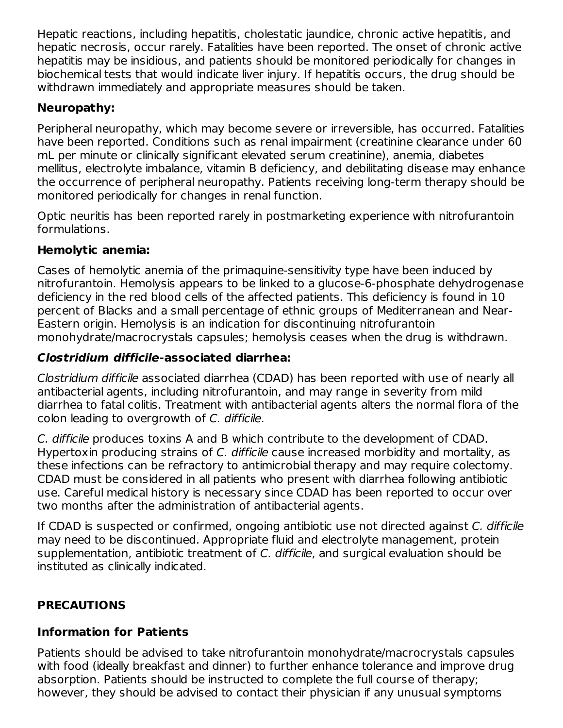Hepatic reactions, including hepatitis, cholestatic jaundice, chronic active hepatitis, and hepatic necrosis, occur rarely. Fatalities have been reported. The onset of chronic active hepatitis may be insidious, and patients should be monitored periodically for changes in biochemical tests that would indicate liver injury. If hepatitis occurs, the drug should be withdrawn immediately and appropriate measures should be taken.

## **Neuropathy:**

Peripheral neuropathy, which may become severe or irreversible, has occurred. Fatalities have been reported. Conditions such as renal impairment (creatinine clearance under 60 mL per minute or clinically significant elevated serum creatinine), anemia, diabetes mellitus, electrolyte imbalance, vitamin B deficiency, and debilitating disease may enhance the occurrence of peripheral neuropathy. Patients receiving long-term therapy should be monitored periodically for changes in renal function.

Optic neuritis has been reported rarely in postmarketing experience with nitrofurantoin formulations.

## **Hemolytic anemia:**

Cases of hemolytic anemia of the primaquine-sensitivity type have been induced by nitrofurantoin. Hemolysis appears to be linked to a glucose-6-phosphate dehydrogenase deficiency in the red blood cells of the affected patients. This deficiency is found in 10 percent of Blacks and a small percentage of ethnic groups of Mediterranean and Near-Eastern origin. Hemolysis is an indication for discontinuing nitrofurantoin monohydrate/macrocrystals capsules; hemolysis ceases when the drug is withdrawn.

## **Clostridium difficile-associated diarrhea:**

Clostridium difficile associated diarrhea (CDAD) has been reported with use of nearly all antibacterial agents, including nitrofurantoin, and may range in severity from mild diarrhea to fatal colitis. Treatment with antibacterial agents alters the normal flora of the colon leading to overgrowth of C. difficile.

C. difficile produces toxins A and B which contribute to the development of CDAD. Hypertoxin producing strains of C. difficile cause increased morbidity and mortality, as these infections can be refractory to antimicrobial therapy and may require colectomy. CDAD must be considered in all patients who present with diarrhea following antibiotic use. Careful medical history is necessary since CDAD has been reported to occur over two months after the administration of antibacterial agents.

If CDAD is suspected or confirmed, ongoing antibiotic use not directed against C. difficile may need to be discontinued. Appropriate fluid and electrolyte management, protein supplementation, antibiotic treatment of C. difficile, and surgical evaluation should be instituted as clinically indicated.

# **PRECAUTIONS**

## **Information for Patients**

Patients should be advised to take nitrofurantoin monohydrate/macrocrystals capsules with food (ideally breakfast and dinner) to further enhance tolerance and improve drug absorption. Patients should be instructed to complete the full course of therapy; however, they should be advised to contact their physician if any unusual symptoms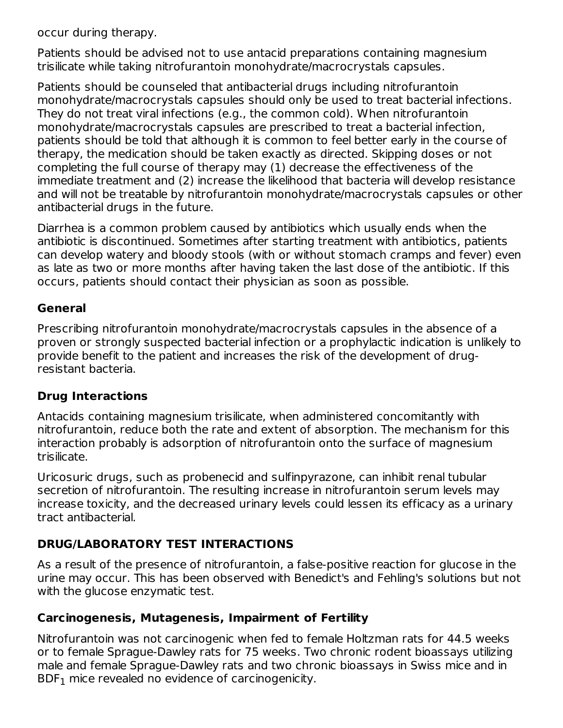occur during therapy.

Patients should be advised not to use antacid preparations containing magnesium trisilicate while taking nitrofurantoin monohydrate/macrocrystals capsules.

Patients should be counseled that antibacterial drugs including nitrofurantoin monohydrate/macrocrystals capsules should only be used to treat bacterial infections. They do not treat viral infections (e.g., the common cold). When nitrofurantoin monohydrate/macrocrystals capsules are prescribed to treat a bacterial infection, patients should be told that although it is common to feel better early in the course of therapy, the medication should be taken exactly as directed. Skipping doses or not completing the full course of therapy may (1) decrease the effectiveness of the immediate treatment and (2) increase the likelihood that bacteria will develop resistance and will not be treatable by nitrofurantoin monohydrate/macrocrystals capsules or other antibacterial drugs in the future.

Diarrhea is a common problem caused by antibiotics which usually ends when the antibiotic is discontinued. Sometimes after starting treatment with antibiotics, patients can develop watery and bloody stools (with or without stomach cramps and fever) even as late as two or more months after having taken the last dose of the antibiotic. If this occurs, patients should contact their physician as soon as possible.

#### **General**

Prescribing nitrofurantoin monohydrate/macrocrystals capsules in the absence of a proven or strongly suspected bacterial infection or a prophylactic indication is unlikely to provide benefit to the patient and increases the risk of the development of drugresistant bacteria.

## **Drug Interactions**

Antacids containing magnesium trisilicate, when administered concomitantly with nitrofurantoin, reduce both the rate and extent of absorption. The mechanism for this interaction probably is adsorption of nitrofurantoin onto the surface of magnesium trisilicate.

Uricosuric drugs, such as probenecid and sulfinpyrazone, can inhibit renal tubular secretion of nitrofurantoin. The resulting increase in nitrofurantoin serum levels may increase toxicity, and the decreased urinary levels could lessen its efficacy as a urinary tract antibacterial.

## **DRUG/LABORATORY TEST INTERACTIONS**

As a result of the presence of nitrofurantoin, a false-positive reaction for glucose in the urine may occur. This has been observed with Benedict's and Fehling's solutions but not with the glucose enzymatic test.

#### **Carcinogenesis, Mutagenesis, Impairment of Fertility**

Nitrofurantoin was not carcinogenic when fed to female Holtzman rats for 44.5 weeks or to female Sprague-Dawley rats for 75 weeks. Two chronic rodent bioassays utilizing male and female Sprague-Dawley rats and two chronic bioassays in Swiss mice and in BDF<sub>1</sub> mice revealed no evidence of carcinogenicity.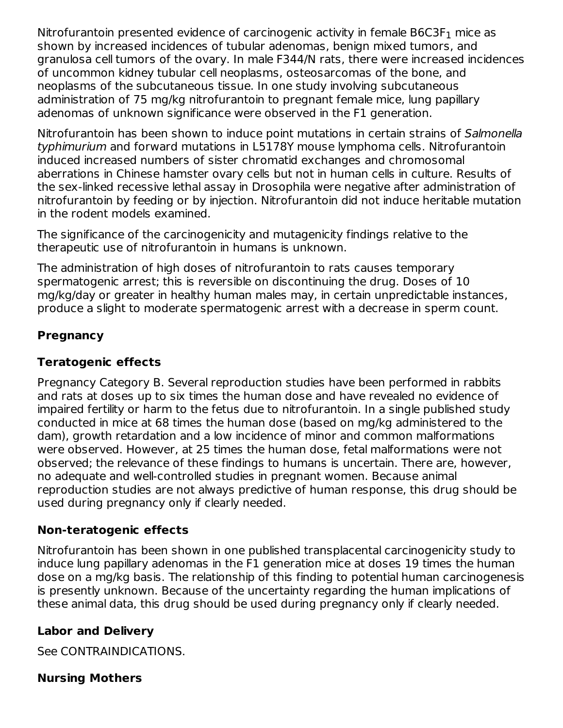Nitrofurantoin presented evidence of carcinogenic activity in female  $\mathsf{B6C3F}_1$  mice as shown by increased incidences of tubular adenomas, benign mixed tumors, and granulosa cell tumors of the ovary. In male F344/N rats, there were increased incidences of uncommon kidney tubular cell neoplasms, osteosarcomas of the bone, and neoplasms of the subcutaneous tissue. In one study involving subcutaneous administration of 75 mg/kg nitrofurantoin to pregnant female mice, lung papillary adenomas of unknown significance were observed in the F1 generation.

Nitrofurantoin has been shown to induce point mutations in certain strains of Salmonella typhimurium and forward mutations in L5178Y mouse lymphoma cells. Nitrofurantoin induced increased numbers of sister chromatid exchanges and chromosomal aberrations in Chinese hamster ovary cells but not in human cells in culture. Results of the sex-linked recessive lethal assay in Drosophila were negative after administration of nitrofurantoin by feeding or by injection. Nitrofurantoin did not induce heritable mutation in the rodent models examined.

The significance of the carcinogenicity and mutagenicity findings relative to the therapeutic use of nitrofurantoin in humans is unknown.

The administration of high doses of nitrofurantoin to rats causes temporary spermatogenic arrest; this is reversible on discontinuing the drug. Doses of 10 mg/kg/day or greater in healthy human males may, in certain unpredictable instances, produce a slight to moderate spermatogenic arrest with a decrease in sperm count.

# **Pregnancy**

# **Teratogenic effects**

Pregnancy Category B. Several reproduction studies have been performed in rabbits and rats at doses up to six times the human dose and have revealed no evidence of impaired fertility or harm to the fetus due to nitrofurantoin. In a single published study conducted in mice at 68 times the human dose (based on mg/kg administered to the dam), growth retardation and a low incidence of minor and common malformations were observed. However, at 25 times the human dose, fetal malformations were not observed; the relevance of these findings to humans is uncertain. There are, however, no adequate and well-controlled studies in pregnant women. Because animal reproduction studies are not always predictive of human response, this drug should be used during pregnancy only if clearly needed.

## **Non-teratogenic effects**

Nitrofurantoin has been shown in one published transplacental carcinogenicity study to induce lung papillary adenomas in the F1 generation mice at doses 19 times the human dose on a mg/kg basis. The relationship of this finding to potential human carcinogenesis is presently unknown. Because of the uncertainty regarding the human implications of these animal data, this drug should be used during pregnancy only if clearly needed.

## **Labor and Delivery**

See CONTRAINDICATIONS.

## **Nursing Mothers**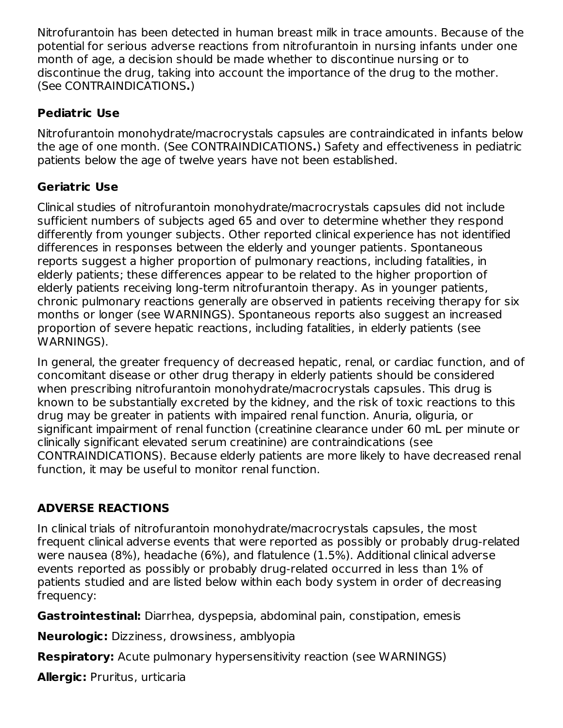Nitrofurantoin has been detected in human breast milk in trace amounts. Because of the potential for serious adverse reactions from nitrofurantoin in nursing infants under one month of age, a decision should be made whether to discontinue nursing or to discontinue the drug, taking into account the importance of the drug to the mother. (See CONTRAINDICATIONS**.**)

## **Pediatric Use**

Nitrofurantoin monohydrate/macrocrystals capsules are contraindicated in infants below the age of one month. (See CONTRAINDICATIONS**.**) Safety and effectiveness in pediatric patients below the age of twelve years have not been established.

# **Geriatric Use**

Clinical studies of nitrofurantoin monohydrate/macrocrystals capsules did not include sufficient numbers of subjects aged 65 and over to determine whether they respond differently from younger subjects. Other reported clinical experience has not identified differences in responses between the elderly and younger patients. Spontaneous reports suggest a higher proportion of pulmonary reactions, including fatalities, in elderly patients; these differences appear to be related to the higher proportion of elderly patients receiving long-term nitrofurantoin therapy. As in younger patients, chronic pulmonary reactions generally are observed in patients receiving therapy for six months or longer (see WARNINGS). Spontaneous reports also suggest an increased proportion of severe hepatic reactions, including fatalities, in elderly patients (see WARNINGS).

In general, the greater frequency of decreased hepatic, renal, or cardiac function, and of concomitant disease or other drug therapy in elderly patients should be considered when prescribing nitrofurantoin monohydrate/macrocrystals capsules. This drug is known to be substantially excreted by the kidney, and the risk of toxic reactions to this drug may be greater in patients with impaired renal function. Anuria, oliguria, or significant impairment of renal function (creatinine clearance under 60 mL per minute or clinically significant elevated serum creatinine) are contraindications (see CONTRAINDICATIONS). Because elderly patients are more likely to have decreased renal function, it may be useful to monitor renal function.

# **ADVERSE REACTIONS**

In clinical trials of nitrofurantoin monohydrate/macrocrystals capsules, the most frequent clinical adverse events that were reported as possibly or probably drug-related were nausea (8%), headache (6%), and flatulence (1.5%). Additional clinical adverse events reported as possibly or probably drug-related occurred in less than 1% of patients studied and are listed below within each body system in order of decreasing frequency:

**Gastrointestinal:** Diarrhea, dyspepsia, abdominal pain, constipation, emesis

**Neurologic:** Dizziness, drowsiness, amblyopia

**Respiratory:** Acute pulmonary hypersensitivity reaction (see WARNINGS)

**Allergic:** Pruritus, urticaria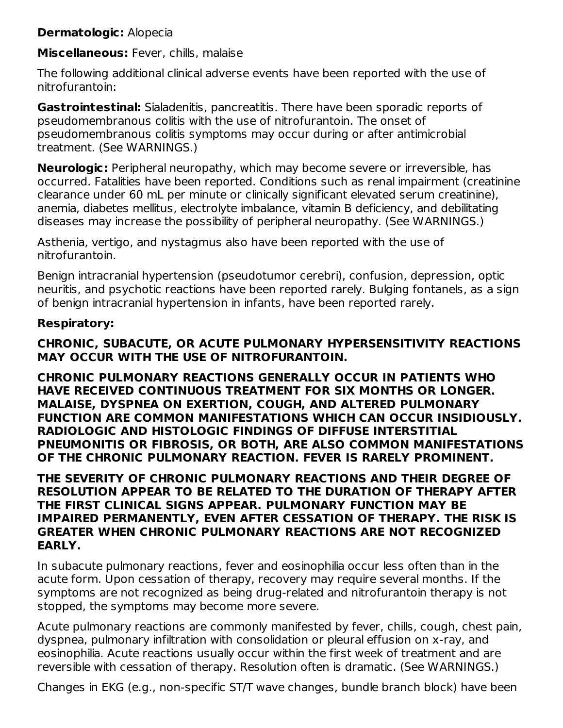#### **Dermatologic:** Alopecia

#### **Miscellaneous:** Fever, chills, malaise

The following additional clinical adverse events have been reported with the use of nitrofurantoin:

**Gastrointestinal:** Sialadenitis, pancreatitis. There have been sporadic reports of pseudomembranous colitis with the use of nitrofurantoin. The onset of pseudomembranous colitis symptoms may occur during or after antimicrobial treatment. (See WARNINGS.)

**Neurologic:** Peripheral neuropathy, which may become severe or irreversible, has occurred. Fatalities have been reported. Conditions such as renal impairment (creatinine clearance under 60 mL per minute or clinically significant elevated serum creatinine), anemia, diabetes mellitus, electrolyte imbalance, vitamin B deficiency, and debilitating diseases may increase the possibility of peripheral neuropathy. (See WARNINGS.)

Asthenia, vertigo, and nystagmus also have been reported with the use of nitrofurantoin.

Benign intracranial hypertension (pseudotumor cerebri), confusion, depression, optic neuritis, and psychotic reactions have been reported rarely. Bulging fontanels, as a sign of benign intracranial hypertension in infants, have been reported rarely.

#### **Respiratory:**

#### **CHRONIC, SUBACUTE, OR ACUTE PULMONARY HYPERSENSITIVITY REACTIONS MAY OCCUR WITH THE USE OF NITROFURANTOIN.**

**CHRONIC PULMONARY REACTIONS GENERALLY OCCUR IN PATIENTS WHO HAVE RECEIVED CONTINUOUS TREATMENT FOR SIX MONTHS OR LONGER. MALAISE, DYSPNEA ON EXERTION, COUGH, AND ALTERED PULMONARY FUNCTION ARE COMMON MANIFESTATIONS WHICH CAN OCCUR INSIDIOUSLY. RADIOLOGIC AND HISTOLOGIC FINDINGS OF DIFFUSE INTERSTITIAL PNEUMONITIS OR FIBROSIS, OR BOTH, ARE ALSO COMMON MANIFESTATIONS OF THE CHRONIC PULMONARY REACTION. FEVER IS RARELY PROMINENT.**

#### **THE SEVERITY OF CHRONIC PULMONARY REACTIONS AND THEIR DEGREE OF RESOLUTION APPEAR TO BE RELATED TO THE DURATION OF THERAPY AFTER THE FIRST CLINICAL SIGNS APPEAR. PULMONARY FUNCTION MAY BE IMPAIRED PERMANENTLY, EVEN AFTER CESSATION OF THERAPY. THE RISK IS GREATER WHEN CHRONIC PULMONARY REACTIONS ARE NOT RECOGNIZED EARLY.**

In subacute pulmonary reactions, fever and eosinophilia occur less often than in the acute form. Upon cessation of therapy, recovery may require several months. If the symptoms are not recognized as being drug-related and nitrofurantoin therapy is not stopped, the symptoms may become more severe.

Acute pulmonary reactions are commonly manifested by fever, chills, cough, chest pain, dyspnea, pulmonary infiltration with consolidation or pleural effusion on x-ray, and eosinophilia. Acute reactions usually occur within the first week of treatment and are reversible with cessation of therapy. Resolution often is dramatic. (See WARNINGS.)

Changes in EKG (e.g., non-specific ST/T wave changes, bundle branch block) have been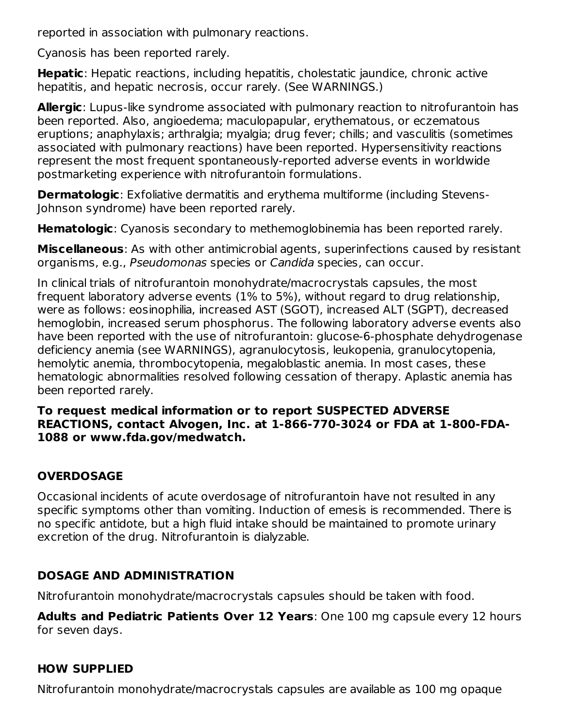reported in association with pulmonary reactions.

Cyanosis has been reported rarely.

**Hepatic**: Hepatic reactions, including hepatitis, cholestatic jaundice, chronic active hepatitis, and hepatic necrosis, occur rarely. (See WARNINGS.)

**Allergic**: Lupus-like syndrome associated with pulmonary reaction to nitrofurantoin has been reported. Also, angioedema; maculopapular, erythematous, or eczematous eruptions; anaphylaxis; arthralgia; myalgia; drug fever; chills; and vasculitis (sometimes associated with pulmonary reactions) have been reported. Hypersensitivity reactions represent the most frequent spontaneously-reported adverse events in worldwide postmarketing experience with nitrofurantoin formulations.

**Dermatologic**: Exfoliative dermatitis and erythema multiforme (including Stevens-Johnson syndrome) have been reported rarely.

**Hematologic**: Cyanosis secondary to methemoglobinemia has been reported rarely.

**Miscellaneous**: As with other antimicrobial agents, superinfections caused by resistant organisms, e.g., Pseudomonas species or Candida species, can occur.

In clinical trials of nitrofurantoin monohydrate/macrocrystals capsules, the most frequent laboratory adverse events (1% to 5%), without regard to drug relationship, were as follows: eosinophilia, increased AST (SGOT), increased ALT (SGPT), decreased hemoglobin, increased serum phosphorus. The following laboratory adverse events also have been reported with the use of nitrofurantoin: glucose-6-phosphate dehydrogenase deficiency anemia (see WARNINGS), agranulocytosis, leukopenia, granulocytopenia, hemolytic anemia, thrombocytopenia, megaloblastic anemia. In most cases, these hematologic abnormalities resolved following cessation of therapy. Aplastic anemia has been reported rarely.

#### **To request medical information or to report SUSPECTED ADVERSE REACTIONS, contact Alvogen, Inc. at 1-866-770-3024 or FDA at 1-800-FDA-1088 or www.fda.gov/medwatch.**

# **OVERDOSAGE**

Occasional incidents of acute overdosage of nitrofurantoin have not resulted in any specific symptoms other than vomiting. Induction of emesis is recommended. There is no specific antidote, but a high fluid intake should be maintained to promote urinary excretion of the drug. Nitrofurantoin is dialyzable.

# **DOSAGE AND ADMINISTRATION**

Nitrofurantoin monohydrate/macrocrystals capsules should be taken with food.

**Adults and Pediatric Patients Over 12 Years**: One 100 mg capsule every 12 hours for seven days.

# **HOW SUPPLIED**

Nitrofurantoin monohydrate/macrocrystals capsules are available as 100 mg opaque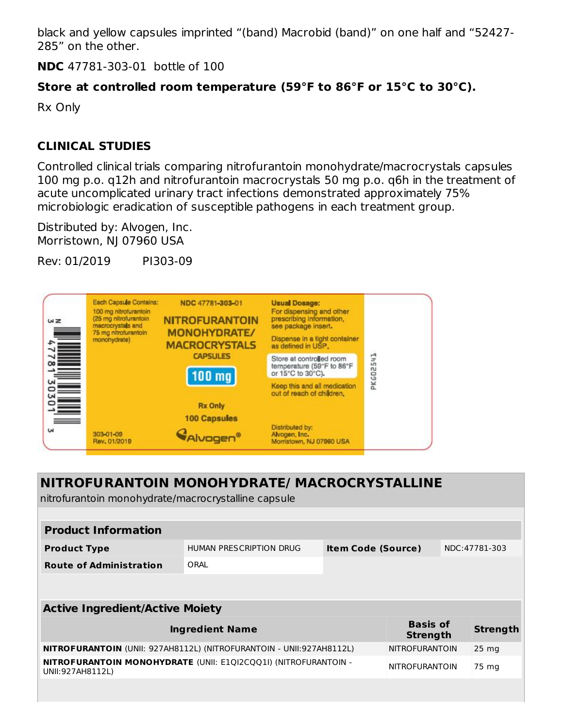black and yellow capsules imprinted "(band) Macrobid (band)" on one half and "52427- 285" on the other.

**NDC** 47781-303-01 bottle of 100

# **Store at controlled room temperature (59°F to 86°F or 15°C to 30°C).**

Rx Only

# **CLINICAL STUDIES**

Controlled clinical trials comparing nitrofurantoin monohydrate/macrocrystals capsules 100 mg p.o. q12h and nitrofurantoin macrocrystals 50 mg p.o. q6h in the treatment of acute uncomplicated urinary tract infections demonstrated approximately 75% microbiologic eradication of susceptible pathogens in each treatment group.

Distributed by: Alvogen, Inc. Morristown, NJ 07960 USA

Rev: 01/2019 PI303-09

| mon<br>WZ<br>""<br>"<br>$\infty$<br>w<br>$=$<br>w | Each Capsule Contains:<br>100 mg nitrofurantoin<br>(25 mg nitrofurantoin)<br>macrocrystals and<br>75 mg nitrofurantoin<br>monohydrate) | NDC 47781-303-01<br><b>NITROFURANTOIN</b><br><b>MONOHYDRATE/</b><br><b>MACROCRYSTALS</b><br><b>CAPSULES</b><br>$100$ mg | <b>Usual Dosage:</b><br>For dispensing and other<br>prescribing information,<br>see package insert.<br>Dispense in a tight container<br>as defined in USP.<br>Store at controlled room<br>temperature (59°F to 86°F<br>or 15°C to 30°C).<br>Keep this and all medication<br>out of reach of children. | PKGD2541 |
|---------------------------------------------------|----------------------------------------------------------------------------------------------------------------------------------------|-------------------------------------------------------------------------------------------------------------------------|-------------------------------------------------------------------------------------------------------------------------------------------------------------------------------------------------------------------------------------------------------------------------------------------------------|----------|
| $rac{1}{2}$<br>ы                                  | $303 - 01 - 09$<br>Rev. 01/2019                                                                                                        | <b>Rx Only</b><br><b>100 Capsules</b><br><i><b>Alvogen®</b></i>                                                         | Distributed by:<br>Alvogen, Inc.<br>Morristown, NJ 07960 USA                                                                                                                                                                                                                                          |          |

| NITROFURANTOIN MONOHYDRATE/ MACROCRYSTALLINE<br>nitrofurantoin monohydrate/macrocrystalline capsule |                         |                           |                       |                             |                 |  |
|-----------------------------------------------------------------------------------------------------|-------------------------|---------------------------|-----------------------|-----------------------------|-----------------|--|
|                                                                                                     |                         |                           |                       |                             |                 |  |
| <b>Product Information</b>                                                                          |                         |                           |                       |                             |                 |  |
| <b>Product Type</b>                                                                                 | HUMAN PRESCRIPTION DRUG | <b>Item Code (Source)</b> |                       |                             | NDC: 47781-303  |  |
| <b>Route of Administration</b>                                                                      | ORAL                    |                           |                       |                             |                 |  |
|                                                                                                     |                         |                           |                       |                             |                 |  |
|                                                                                                     |                         |                           |                       |                             |                 |  |
| <b>Active Ingredient/Active Moiety</b>                                                              |                         |                           |                       |                             |                 |  |
| <b>Ingredient Name</b>                                                                              |                         |                           |                       | <b>Basis of</b><br>Strength | <b>Strength</b> |  |
| <b>NITROFURANTOIN</b> (UNII: 927AH8112L) (NITROFURANTOIN - UNII:927AH8112L)                         |                         |                           | <b>NITROFURANTOIN</b> |                             | $25 \text{ mg}$ |  |
| <b>NITROFURANTOIN MONOHYDRATE (UNII: E10I2C001I) (NITROFURANTOIN -</b><br>UNII:927AH8112L)          |                         |                           | <b>NITROFURANTOIN</b> |                             | 75 mg           |  |
|                                                                                                     |                         |                           |                       |                             |                 |  |